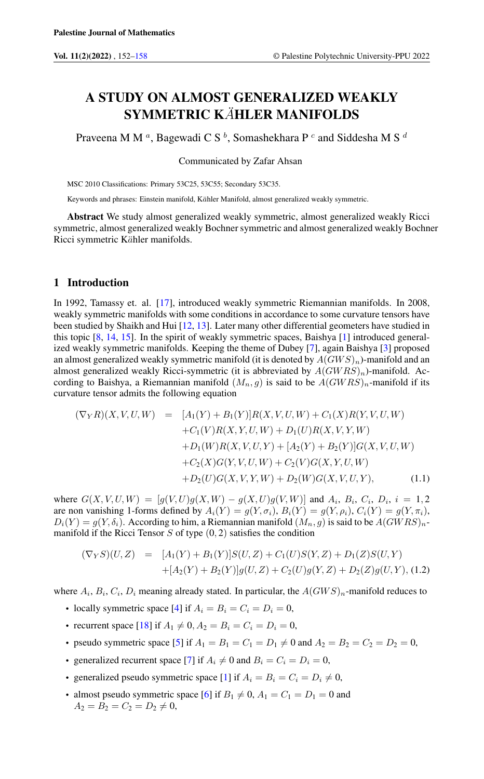# A STUDY ON ALMOST GENERALIZED WEAKLY SYMMETRIC KÄHLER MANIFOLDS

Praveena M M  $^a$ , Bagewadi C S  $^b$ , Somashekhara P  $^c$  and Siddesha M S  $^d$ 

Communicated by Zafar Ahsan

MSC 2010 Classifications: Primary 53C25, 53C55; Secondary 53C35.

Keywords and phrases: Einstein manifold, Kähler Manifold, almost generalized weakly symmetric.

Abstract We study almost generalized weakly symmetric, almost generalized weakly Ricci symmetric, almost generalized weakly Bochner symmetric and almost generalized weakly Bochner Ricci symmetric Kähler manifolds.

#### 1 Introduction

In 1992, Tamassy et. al. [\[17\]](#page-6-0), introduced weakly symmetric Riemannian manifolds. In 2008, weakly symmetric manifolds with some conditions in accordance to some curvature tensors have been studied by Shaikh and Hui [\[12,](#page-5-1) [13\]](#page-6-1). Later many other differential geometers have studied in this topic [\[8,](#page-5-2) [14,](#page-6-2) [15\]](#page-6-3). In the spirit of weakly symmetric spaces, Baishya [\[1\]](#page-5-3) introduced generalized weakly symmetric manifolds. Keeping the theme of Dubey [\[7\]](#page-5-4), again Baishya [\[3\]](#page-5-5) proposed an almost generalized weakly symmetric manifold (it is denoted by  $A(GWS)<sub>n</sub>$ )-manifold and an almost generalized weakly Ricci-symmetric (it is abbreviated by  $A(GWRS)_n$ )-manifold. According to Baishya, a Riemannian manifold  $(M_n, g)$  is said to be  $A(GWRS)_n$ -manifold if its curvature tensor admits the following equation

<span id="page-0-0"></span>
$$
(\nabla_Y R)(X, V, U, W) = [A_1(Y) + B_1(Y)]R(X, V, U, W) + C_1(X)R(Y, V, U, W) + C_1(V)R(X, Y, U, W) + D_1(U)R(X, V, Y, W) + D_1(W)R(X, V, U, Y) + [A_2(Y) + B_2(Y)]G(X, V, U, W) + C_2(X)G(Y, V, U, W) + C_2(V)G(X, Y, U, W) + D_2(U)G(X, V, Y, W) + D_2(W)G(X, V, U, Y),
$$
\n(1.1)

where  $G(X, V, U, W) = [g(V, U)g(X, W) - g(X, U)g(V, W)]$  and  $A_i$ ,  $B_i$ ,  $C_i$ ,  $D_i$ ,  $i = 1, 2$ are non vanishing 1-forms defined by  $A_i(Y) = g(Y, \sigma_i)$ ,  $B_i(Y) = g(Y, \rho_i)$ ,  $C_i(Y) = g(Y, \pi_i)$ ,  $D_i(Y) = g(Y, \delta_i)$ . According to him, a Riemannian manifold  $(M_n, g)$  is said to be  $A(GWRS)_n$ manifold if the Ricci Tensor  $S$  of type  $(0, 2)$  satisfies the condition

<span id="page-0-1"></span>
$$
(\nabla_Y S)(U, Z) = [A_1(Y) + B_1(Y)]S(U, Z) + C_1(U)S(Y, Z) + D_1(Z)S(U, Y) +[A_2(Y) + B_2(Y)]g(U, Z) + C_2(U)g(Y, Z) + D_2(Z)g(U, Y), (1.2)
$$

where  $A_i$ ,  $B_i$ ,  $C_i$ ,  $D_i$  meaning already stated. In particular, the  $A(GWS)_n$ -manifold reduces to

- locally symmetric space [\[4\]](#page-5-6) if  $A_i = B_i = C_i = D_i = 0$ ,
- recurrent space [\[18\]](#page-6-4) if  $A_1 \neq 0, A_2 = B_i = C_i = D_i = 0$ ,
- pseudo symmetric space [\[5\]](#page-5-7) if  $A_1 = B_1 = C_1 = D_1 \neq 0$  and  $A_2 = B_2 = C_2 = D_2 = 0$ ,
- generalized recurrent space [\[7\]](#page-5-4) if  $A_i \neq 0$  and  $B_i = C_i = D_i = 0$ ,
- generalized pseudo symmetric space [\[1\]](#page-5-3) if  $A_i = B_i = C_i = D_i \neq 0$ ,
- almost pseudo symmetric space [\[6\]](#page-5-8) if  $B_1 \neq 0$ ,  $A_1 = C_1 = D_1 = 0$  and  $A_2 = B_2 = C_2 = D_2 \neq 0,$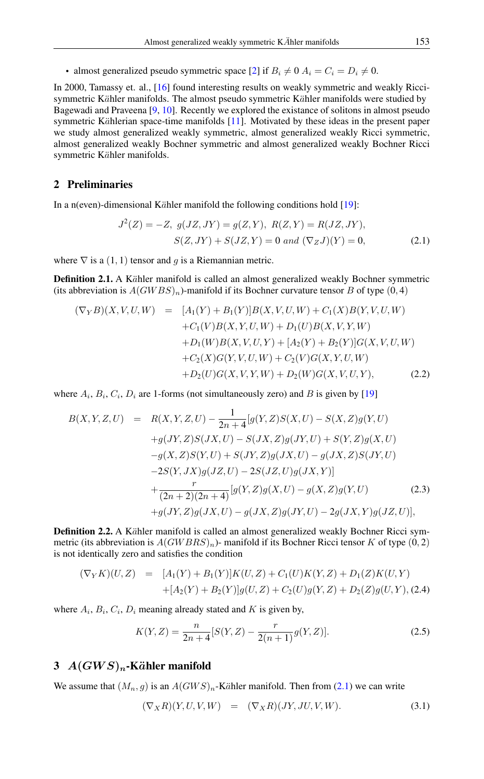• almost generalized pseudo symmetric space [\[2\]](#page-5-9) if  $B_i \neq 0$   $A_i = C_i = D_i \neq 0$ .

In 2000, Tamassy et. al., [\[16\]](#page-6-5) found interesting results on weakly symmetric and weakly Riccisymmetric Kähler manifolds. The almost pseudo symmetric Kähler manifolds were studied by Bagewadi and Praveena [\[9,](#page-5-10) [10\]](#page-5-11). Recently we explored the existance of solitons in almost pseudo symmetric Kählerian space-time manifolds  $[11]$ . Motivated by these ideas in the present paper we study almost generalized weakly symmetric, almost generalized weakly Ricci symmetric, almost generalized weakly Bochner symmetric and almost generalized weakly Bochner Ricci symmetric Kähler manifolds.

### 2 Preliminaries

In a n(even)-dimensional Kähler manifold the following conditions hold  $[19]$ :

<span id="page-1-0"></span>
$$
J^{2}(Z) = -Z, \ g(JZ, JY) = g(Z, Y), \ R(Z, Y) = R(JZ, JY),
$$

$$
S(Z, JY) + S(JZ, Y) = 0 \ and \ (\nabla_{Z} J)(Y) = 0,
$$
 (2.1)

where  $\nabla$  is a (1, 1) tensor and g is a Riemannian metric.

**Definition 2.1.** A Kähler manifold is called an almost generalized weakly Bochner symmetric (its abbreviation is  $A(GWBS)_n$ )-manifold if its Bochner curvature tensor B of type  $(0,4)$ 

<span id="page-1-1"></span>
$$
(\nabla_Y B)(X, V, U, W) = [A_1(Y) + B_1(Y)]B(X, V, U, W) + C_1(X)B(Y, V, U, W) + C_1(V)B(X, Y, U, W) + D_1(U)B(X, V, Y, W) + D_1(W)B(X, V, U, Y) + [A_2(Y) + B_2(Y)]G(X, V, U, W) + C_2(X)G(Y, V, U, W) + C_2(V)G(X, Y, U, W) + D_2(U)G(X, V, Y, W) + D_2(W)G(X, V, U, Y),
$$
\n(2.2)

where  $A_i$ ,  $B_i$ ,  $C_i$ ,  $D_i$  are 1-forms (not simultaneously zero) and B is given by [\[19\]](#page-6-6)

$$
B(X, Y, Z, U) = R(X, Y, Z, U) - \frac{1}{2n+4} [g(Y, Z)S(X, U) - S(X, Z)g(Y, U) + g(JY, Z)S(JX, U) - S(JX, Z)g(JY, U) + S(Y, Z)g(X, U) - g(X, Z)S(Y, U) + S(JY, Z)g(JX, U) - g(JX, Z)S(JY, U) - 2S(Y, JX)g(JZ, U) - 2S(JZ, U)g(JX, Y)] + \frac{r}{(2n+2)(2n+4)} [g(Y, Z)g(X, U) - g(X, Z)g(Y, U) + g(JY, Z)g(JX, U) - g(JX, Z)g(JY, U) - 2g(JX, Y)g(JZ, U)],
$$
 (2.3)

**Definition 2.2.** A Kähler manifold is called an almost generalized weakly Bochner Ricci symmetric (its abbreviation is  $A(GWBRS)<sub>n</sub>$ )- manifold if its Bochner Ricci tensor K of type (0, 2) is not identically zero and satisfies the condition

$$
(\nabla_Y K)(U, Z) = [A_1(Y) + B_1(Y)]K(U, Z) + C_1(U)K(Y, Z) + D_1(Z)K(U, Y) + [A_2(Y) + B_2(Y)]g(U, Z) + C_2(U)g(Y, Z) + D_2(Z)g(U, Y), (2.4)
$$

where  $A_i$ ,  $B_i$ ,  $C_i$ ,  $D_i$  meaning already stated and K is given by,

<span id="page-1-2"></span>
$$
K(Y, Z) = \frac{n}{2n+4} [S(Y, Z) - \frac{r}{2(n+1)} g(Y, Z)].
$$
\n(2.5)

# 3  $A(GWS)<sub>n</sub>$ -Kähler manifold

We assume that  $(M_n, g)$  is an  $A(GWS)_n$ -Kähler manifold. Then from [\(2.1\)](#page-1-0) we can write

$$
(\nabla_X R)(Y, U, V, W) = (\nabla_X R)(JY, JU, V, W).
$$
\n(3.1)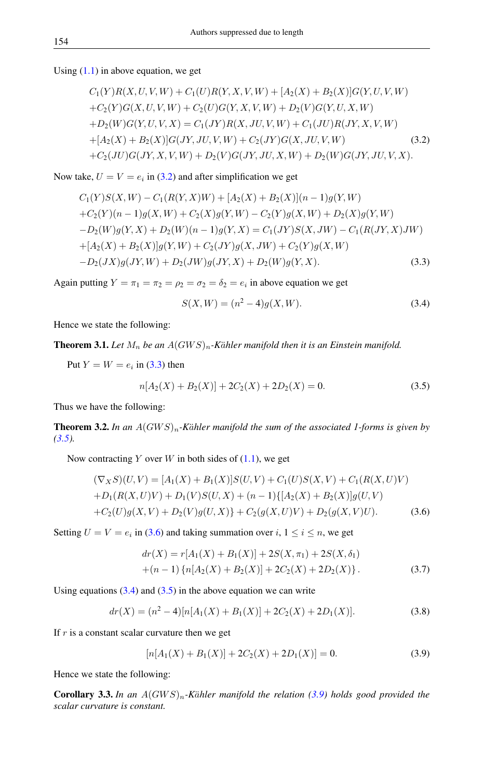Using  $(1.1)$  in above equation, we get

<span id="page-2-0"></span>
$$
C_1(Y)R(X, U, V, W) + C_1(U)R(Y, X, V, W) + [A_2(X) + B_2(X)]G(Y, U, V, W) + C_2(Y)G(X, U, V, W) + C_2(U)G(Y, X, V, W) + D_2(V)G(Y, U, X, W) + D_2(W)G(Y, U, V, X) = C_1(JY)R(X, JU, V, W) + C_1(JU)R(JY, X, V, W) + [A_2(X) + B_2(X)]G(JY, JU, V, W) + C_2(JY)G(X, JU, V, W) + C_2(JU)G(JY, X, V, W) + D_2(V)G(JY, JU, X, W) + D_2(W)G(JY, JU, V, X).
$$
\n(3.2)

Now take,  $U = V = e_i$  in [\(3.2\)](#page-2-0) and after simplification we get

<span id="page-2-1"></span>
$$
C_1(Y)S(X,W) - C_1(R(Y,X)W) + [A_2(X) + B_2(X)](n-1)g(Y,W)
$$
  
+
$$
C_2(Y)(n-1)g(X,W) + C_2(X)g(Y,W) - C_2(Y)g(X,W) + D_2(X)g(Y,W)
$$
  
-
$$
D_2(W)g(Y,X) + D_2(W)(n-1)g(Y,X) = C_1(JY)S(X,JW) - C_1(R(JY,X)JW)
$$
  
+
$$
[A_2(X) + B_2(X)]g(Y,W) + C_2(JY)g(X,JW) + C_2(Y)g(X,W)
$$
  
-
$$
D_2(JX)g(JY,W) + D_2(JW)g(JY,X) + D_2(W)g(Y,X).
$$
 (3.3)

Again putting  $Y = \pi_1 = \pi_2 = \rho_2 = \sigma_2 = \delta_2 = e_i$  in above equation we get

<span id="page-2-4"></span>
$$
S(X, W) = (n2 - 4)g(X, W).
$$
 (3.4)

Hence we state the following:

**Theorem 3.1.** Let  $M_n$  be an  $A(GWS)_n$ -Kähler manifold then it is an Einstein manifold.

Put  $Y = W = e_i$  in [\(3.3\)](#page-2-1) then

<span id="page-2-2"></span>
$$
n[A_2(X) + B_2(X)] + 2C_2(X) + 2D_2(X) = 0.
$$
\n(3.5)

Thus we have the following:

**Theorem 3.2.** In an  $A(GWS)_n$ -Kähler manifold the sum of the associated 1-forms is given by *[\(3.5\)](#page-2-2).*

Now contracting Y over W in both sides of  $(1.1)$ , we get

<span id="page-2-3"></span>
$$
(\nabla_X S)(U, V) = [A_1(X) + B_1(X)]S(U, V) + C_1(U)S(X, V) + C_1(R(X, U)V)
$$
  
+
$$
D_1(R(X, U)V) + D_1(V)S(U, X) + (n - 1)\{[A_2(X) + B_2(X)]g(U, V)
$$
  
+
$$
C_2(U)g(X, V) + D_2(V)g(U, X)\} + C_2(g(X, U)V) + D_2(g(X, V)U).
$$
 (3.6)

Setting  $U = V = e_i$  in [\(3.6\)](#page-2-3) and taking summation over  $i, 1 \le i \le n$ , we get

<span id="page-2-6"></span>
$$
dr(X) = r[A_1(X) + B_1(X)] + 2S(X, \pi_1) + 2S(X, \delta_1)
$$
  
+(n-1) {n[A<sub>2</sub>(X) + B<sub>2</sub>(X)] + 2C<sub>2</sub>(X) + 2D<sub>2</sub>(X)}. (3.7)

Using equations  $(3.4)$  and  $(3.5)$  in the above equation we can write

$$
dr(X) = (n2 - 4)[n[A1(X) + B1(X)] + 2C2(X) + 2D1(X)].
$$
\n(3.8)

If  $r$  is a constant scalar curvature then we get

<span id="page-2-5"></span>
$$
[n[A1(X) + B1(X)] + 2C2(X) + 2D1(X)] = 0.
$$
 (3.9)

Hence we state the following:

**Corollary 3.3.** In an  $A(GWS)_n$ -Kähler manifold the relation [\(3.9\)](#page-2-5) holds good provided the *scalar curvature is constant.*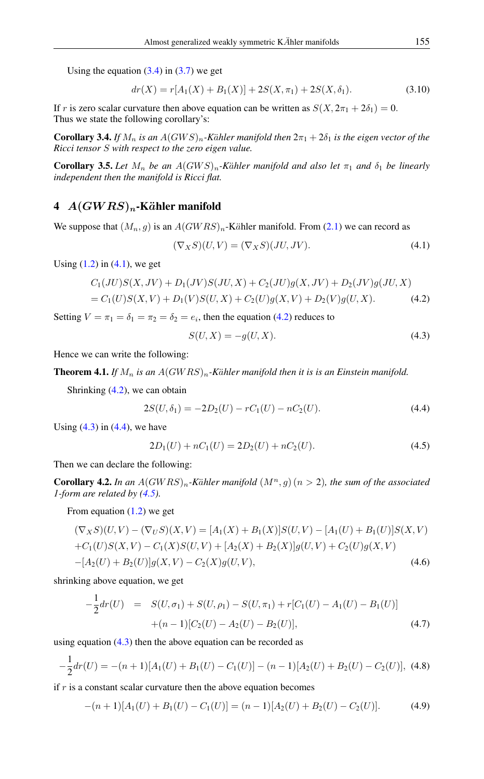Using the equation  $(3.4)$  in  $(3.7)$  we get

$$
dr(X) = r[A_1(X) + B_1(X)] + 2S(X, \pi_1) + 2S(X, \delta_1). \tag{3.10}
$$

If r is zero scalar curvature then above equation can be written as  $S(X, 2\pi<sub>1</sub> + 2\delta<sub>1</sub>) = 0$ . Thus we state the following corollary's:

**Corollary 3.4.** *If*  $M_n$  *is an*  $A(GWS)_n$ -Kähler manifold then  $2\pi_1 + 2\delta_1$  *is the eigen vector of the Ricci tensor* S *with respect to the zero eigen value.*

**Corollary 3.5.** Let  $M_n$  be an  $A(GWS)_n$ -Kähler manifold and also let  $\pi_1$  and  $\delta_1$  be linearly *independent then the manifold is Ricci flat.*

## 4  $A(GWRS)<sub>n</sub>$ -Kähler manifold

We suppose that  $(M_n, g)$  is an  $A(GWRS)_n$ -Kähler manifold. From [\(2.1\)](#page-1-0) we can record as

<span id="page-3-0"></span>
$$
(\nabla_X S)(U, V) = (\nabla_X S)(JU, JV). \tag{4.1}
$$

Using  $(1.2)$  in  $(4.1)$ , we get

<span id="page-3-1"></span>
$$
C_1(JU)S(X, JV) + D_1(JV)S(JU, X) + C_2(JU)g(X, JV) + D_2(JV)g(JU, X)
$$
  
= C<sub>1</sub>(U)S(X, V) + D<sub>1</sub>(V)S(U, X) + C<sub>2</sub>(U)g(X, V) + D<sub>2</sub>(V)g(U, X). (4.2)

Setting  $V = \pi_1 = \delta_1 = \pi_2 = \delta_2 = e_i$ , then the equation [\(4.2\)](#page-3-1) reduces to

<span id="page-3-2"></span>
$$
S(U, X) = -g(U, X). \tag{4.3}
$$

Hence we can write the following:

**Theorem 4.1.** *If*  $M_n$  *is an*  $A(GWRS)_n$ *-Kähler manifold then it is is an Einstein manifold.* 

Shrinking [\(4.2\)](#page-3-1), we can obtain

<span id="page-3-3"></span>
$$
2S(U, \delta_1) = -2D_2(U) - rC_1(U) - nC_2(U). \tag{4.4}
$$

Using  $(4.3)$  in  $(4.4)$ , we have

<span id="page-3-4"></span>
$$
2D_1(U) + nC_1(U) = 2D_2(U) + nC_2(U). \tag{4.5}
$$

Then we can declare the following:

**Corollary 4.2.** In an  $A(GWRS)_n$ -Kähler manifold  $(M^n, g)$   $(n > 2)$ , the sum of the associated *1-form are related by [\(4.5\)](#page-3-4).*

From equation  $(1.2)$  we get

$$
(\nabla_X S)(U, V) - (\nabla_U S)(X, V) = [A_1(X) + B_1(X)]S(U, V) - [A_1(U) + B_1(U)]S(X, V) + C_1(U)S(X, V) - C_1(X)S(U, V) + [A_2(X) + B_2(X)]g(U, V) + C_2(U)g(X, V) - [A_2(U) + B_2(U)]g(X, V) - C_2(X)g(U, V),
$$
\n(4.6)

shrinking above equation, we get

$$
-\frac{1}{2}dr(U) = S(U, \sigma_1) + S(U, \rho_1) - S(U, \pi_1) + r[C_1(U) - A_1(U) - B_1(U)]
$$
  
+(n-1)[C<sub>2</sub>(U) - A<sub>2</sub>(U) - B<sub>2</sub>(U)], (4.7)

using equation  $(4.3)$  then the above equation can be recorded as

$$
-\frac{1}{2}dr(U) = -(n+1)[A_1(U) + B_1(U) - C_1(U)] - (n-1)[A_2(U) + B_2(U) - C_2(U)],
$$
 (4.8)

if  $r$  is a constant scalar curvature then the above equation becomes

<span id="page-3-5"></span>
$$
-(n+1)[A1(U) + B1(U) - C1(U)] = (n-1)[A2(U) + B2(U) - C2(U)].
$$
 (4.9)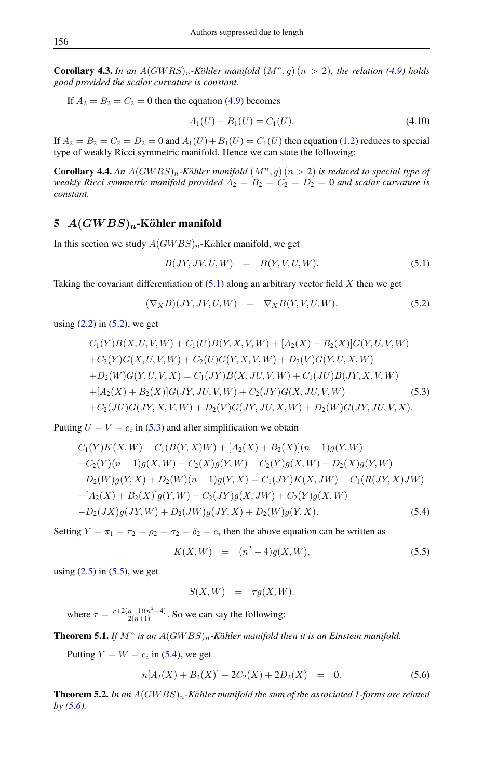**Corollary 4.3.** In an  $A(GWRS)_n$ -Kähler manifold  $(M^n, g)$   $(n > 2)$ , the relation [\(4.9\)](#page-3-5) holds *good provided the scalar curvature is constant.*

If  $A_2 = B_2 = C_2 = 0$  then the equation [\(4.9\)](#page-3-5) becomes

$$
A_1(U) + B_1(U) = C_1(U). \tag{4.10}
$$

If  $A_2 = B_2 = C_2 = D_2 = 0$  and  $A_1(U) + B_1(U) = C_1(U)$  then equation [\(1.2\)](#page-0-1) reduces to special type of weakly Ricci symmetric manifold. Hence we can state the following:

**Corollary 4.4.** An  $A(GWRS)_n$ -Kähler manifold  $(M^n, g)(n > 2)$  is reduced to special type of *weakly Ricci symmetric manifold provided*  $A_2 = B_2 = C_2 = D_2 = 0$  *and scalar curvature is constant.*

### 5  $A(GWBS)<sub>n</sub>$ -Kähler manifold

In this section we study  $A(GWBS)_n$ -Kähler manifold, we get

<span id="page-4-0"></span>
$$
B(JY, JV, U, W) = B(Y, V, U, W). \tag{5.1}
$$

Taking the covariant differentiation of  $(5.1)$  along an arbitrary vector field X then we get

<span id="page-4-1"></span>
$$
(\nabla_X B)(JY, JV, U, W) = \nabla_X B(Y, V, U, W), \tag{5.2}
$$

using  $(2.2)$  in  $(5.2)$ , we get

<span id="page-4-2"></span>
$$
C_1(Y)B(X, U, V, W) + C_1(U)B(Y, X, V, W) + [A_2(X) + B_2(X)]G(Y, U, V, W)
$$
  
+
$$
C_2(Y)G(X, U, V, W) + C_2(U)G(Y, X, V, W) + D_2(V)G(Y, U, X, W)
$$
  
+
$$
D_2(W)G(Y, U, V, X) = C_1(JY)B(X, JU, V, W) + C_1(JU)B(JY, X, V, W)
$$
  
+
$$
[A_2(X) + B_2(X)]G(JY, JU, V, W) + C_2(JY)G(X, JU, V, W)
$$
(5.3)  
+
$$
C_2(JU)G(JY, X, V, W) + D_2(V)G(JY, JU, X, W) + D_2(W)G(JY, JU, V, X).
$$

<span id="page-4-4"></span>Putting  $U = V = e_i$  in [\(5.3\)](#page-4-2) and after simplification we obtain

$$
C_1(Y)K(X,W) - C_1(B(Y,X)W) + [A_2(X) + B_2(X)](n-1)g(Y,W)
$$
  
+
$$
C_2(Y)(n-1)g(X,W) + C_2(X)g(Y,W) - C_2(Y)g(X,W) + D_2(X)g(Y,W)
$$
  
-
$$
D_2(W)g(Y,X) + D_2(W)(n-1)g(Y,X) = C_1(JY)K(X,JW) - C_1(R(JY,X)JW)
$$
  
+
$$
[A_2(X) + B_2(X)]g(Y,W) + C_2(JY)g(X,JW) + C_2(Y)g(X,W)
$$
  
-
$$
D_2(JX)g(JY,W) + D_2(JW)g(JY,X) + D_2(W)g(Y,X).
$$
 (5.4)

Setting  $Y = \pi_1 = \pi_2 = \rho_2 = \sigma_2 = \delta_2 = e_i$  then the above equation can be written as

<span id="page-4-3"></span>
$$
K(X, W) = (n^2 - 4)g(X, W), \tag{5.5}
$$

using  $(2.5)$  in  $(5.5)$ , we get

<span id="page-4-5"></span>
$$
S(X, W) = \tau g(X, W).
$$

where  $\tau = \frac{r+2(n+1)(n^2-4)}{2(n+1)}$  $\frac{n+1}{2(n+1)}$ . So we can say the following:

**Theorem 5.1.** *If*  $M^n$  *is an*  $A(GWBS)_n$ -Kähler manifold then it is an Einstein manifold.

Putting  $Y = W = e_i$  in [\(5.4\)](#page-4-4), we get

$$
n[A_2(X) + B_2(X)] + 2C_2(X) + 2D_2(X) = 0.
$$
\n(5.6)

**Theorem 5.2.** In an  $A(GWBS)<sub>n</sub>$ -Kähler manifold the sum of the associated 1-forms are related *by [\(5.6\)](#page-4-5).*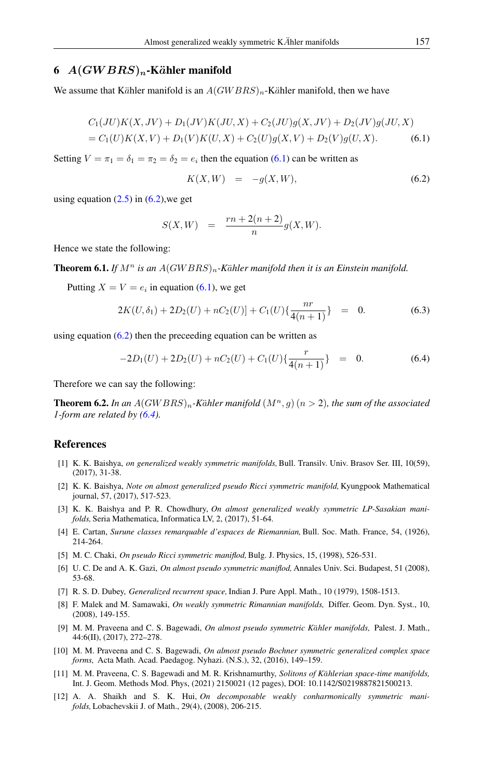# 6  $A(GWBRS)_n$ -Kähler manifold

We assume that Kähler manifold is an  $A(GWBRS)_n$ -Kähler manifold, then we have

<span id="page-5-13"></span>
$$
C_1(JU)K(X,JV) + D_1(JV)K(JU,X) + C_2(JU)g(X,JV) + D_2(JV)g(JU,X)
$$
  
= C<sub>1</sub>(U)K(X,V) + D<sub>1</sub>(V)K(U,X) + C<sub>2</sub>(U)g(X,V) + D<sub>2</sub>(V)g(U,X). (6.1)

Setting  $V = \pi_1 = \delta_1 = \pi_2 = \delta_2 = e_i$  then the equation [\(6.1\)](#page-5-13) can be written as

<span id="page-5-14"></span>
$$
K(X,W) = -g(X,W), \tag{6.2}
$$

using equation  $(2.5)$  in  $(6.2)$ , we get

$$
S(X, W) = \frac{rn + 2(n+2)}{n} g(X, W).
$$

Hence we state the following:

**Theorem 6.1.** *If*  $M^n$  *is an*  $A(GWBRS)_n$ -Kähler manifold then it is an Einstein manifold.

Putting  $X = V = e_i$  in equation [\(6.1\)](#page-5-13), we get

$$
2K(U, \delta_1) + 2D_2(U) + nC_2(U)] + C_1(U)\left\{\frac{nr}{4(n+1)}\right\} = 0.
$$
 (6.3)

using equation  $(6.2)$  then the preceeding equation can be written as

<span id="page-5-15"></span>
$$
-2D_1(U) + 2D_2(U) + nC_2(U) + C_1(U)\left\{\frac{r}{4(n+1)}\right\} = 0.
$$
 (6.4)

Therefore we can say the following:

**Theorem 6.2.** In an  $A(GWBRS)_n$ -Kähler manifold  $(M^n, g)(n > 2)$ , the sum of the associated *1-form are related by [\(6.4\)](#page-5-15).*

# <span id="page-5-0"></span>References

- <span id="page-5-3"></span>[1] K. K. Baishya, *on generalized weakly symmetric manifolds,* Bull. Transilv. Univ. Brasov Ser. III, 10(59), (2017), 31-38.
- <span id="page-5-9"></span>[2] K. K. Baishya, *Note on almost generalized pseudo Ricci symmetric manifold,* Kyungpook Mathematical journal, 57, (2017), 517-523.
- <span id="page-5-5"></span>[3] K. K. Baishya and P. R. Chowdhury, *On almost generalized weakly symmetric LP-Sasakian manifolds,* Seria Mathematica, Informatica LV, 2, (2017), 51-64.
- <span id="page-5-6"></span>[4] E. Cartan, *Surune classes remarquable d'espaces de Riemannian,*Bull. Soc. Math. France, 54, (1926), 214-264.
- <span id="page-5-7"></span>[5] M. C. Chaki, *On pseudo Ricci symmetric maniflod,*Bulg. J. Physics, 15, (1998), 526-531.
- <span id="page-5-8"></span>[6] U. C. De and A. K. Gazi, *On almost pseudo symmetric maniflod,* Annales Univ. Sci. Budapest, 51 (2008), 53-68.
- <span id="page-5-4"></span>[7] R. S. D. Dubey, *Generalized recurrent space,* Indian J. Pure Appl. Math., 10 (1979), 1508-1513.
- <span id="page-5-2"></span>[8] F. Malek and M. Samawaki, *On weakly symmetric Rimannian manifolds,* Differ. Geom. Dyn. Syst., 10, (2008), 149-155.
- <span id="page-5-10"></span>[9] M. M. Praveena and C. S. Bagewadi, *On almost pseudo symmetric Kähler manifolds*, Palest. J. Math., 44:6(II), (2017), 272–278.
- <span id="page-5-11"></span>[10] M. M. Praveena and C. S. Bagewadi, *On almost pseudo Bochner symmetric generalized complex space forms,* Acta Math. Acad. Paedagog. Nyhazi. (N.S.), 32, (2016), 149–159.
- <span id="page-5-12"></span>[11] M. M. Praveena, C. S. Bagewadi and M. R. Krishnamurthy, *Solitons of Kählerian space-time manifolds*, Int. J. Geom. Methods Mod. Phys, (2021) 2150021 (12 pages), DOI: 10.1142/S0219887821500213.
- <span id="page-5-1"></span>[12] A. A. Shaikh and S. K. Hui, *On decomposable weakly conharmonically symmetric manifolds,* Lobachevskii J. of Math., 29(4), (2008), 206-215.